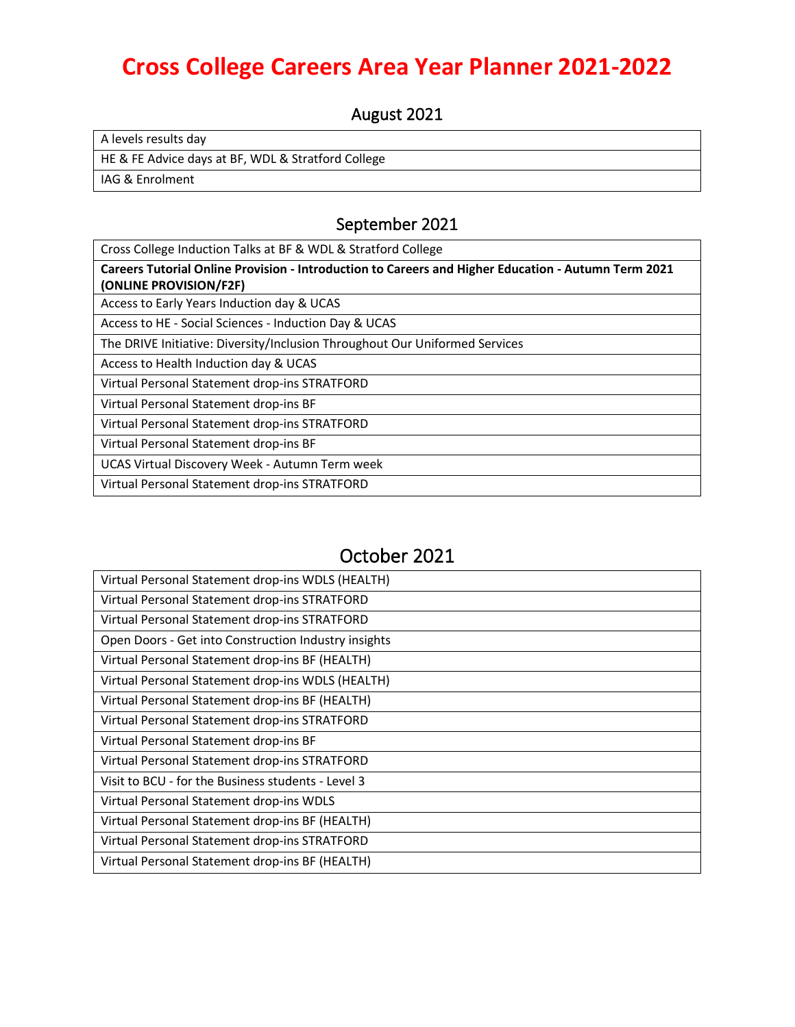# **Cross College Careers Area Year Planner 2021-2022**

August 2021

A levels results day

HE & FE Advice days at BF, WDL & Stratford College

IAG & Enrolment

### September 2021

Cross College Induction Talks at BF & WDL & Stratford College **Careers Tutorial Online Provision - Introduction to Careers and Higher Education - Autumn Term 2021 (ONLINE PROVISION/F2F)** Access to Early Years Induction day & UCAS Access to HE - Social Sciences - Induction Day & UCAS The DRIVE Initiative: Diversity/Inclusion Throughout Our Uniformed Services Access to Health Induction day & UCAS Virtual Personal Statement drop-ins STRATFORD Virtual Personal Statement drop-ins BF Virtual Personal Statement drop-ins STRATFORD Virtual Personal Statement drop-ins BF UCAS Virtual Discovery Week - Autumn Term week Virtual Personal Statement drop-ins STRATFORD

## October 2021

| Virtual Personal Statement drop-ins WDLS (HEALTH)    |
|------------------------------------------------------|
| Virtual Personal Statement drop-ins STRATFORD        |
| Virtual Personal Statement drop-ins STRATFORD        |
| Open Doors - Get into Construction Industry insights |
| Virtual Personal Statement drop-ins BF (HEALTH)      |
| Virtual Personal Statement drop-ins WDLS (HEALTH)    |
| Virtual Personal Statement drop-ins BF (HEALTH)      |
| Virtual Personal Statement drop-ins STRATFORD        |
| Virtual Personal Statement drop-ins BF               |
| Virtual Personal Statement drop-ins STRATFORD        |
| Visit to BCU - for the Business students - Level 3   |
| Virtual Personal Statement drop-ins WDLS             |
| Virtual Personal Statement drop-ins BF (HEALTH)      |
| Virtual Personal Statement drop-ins STRATFORD        |
| Virtual Personal Statement drop-ins BF (HEALTH)      |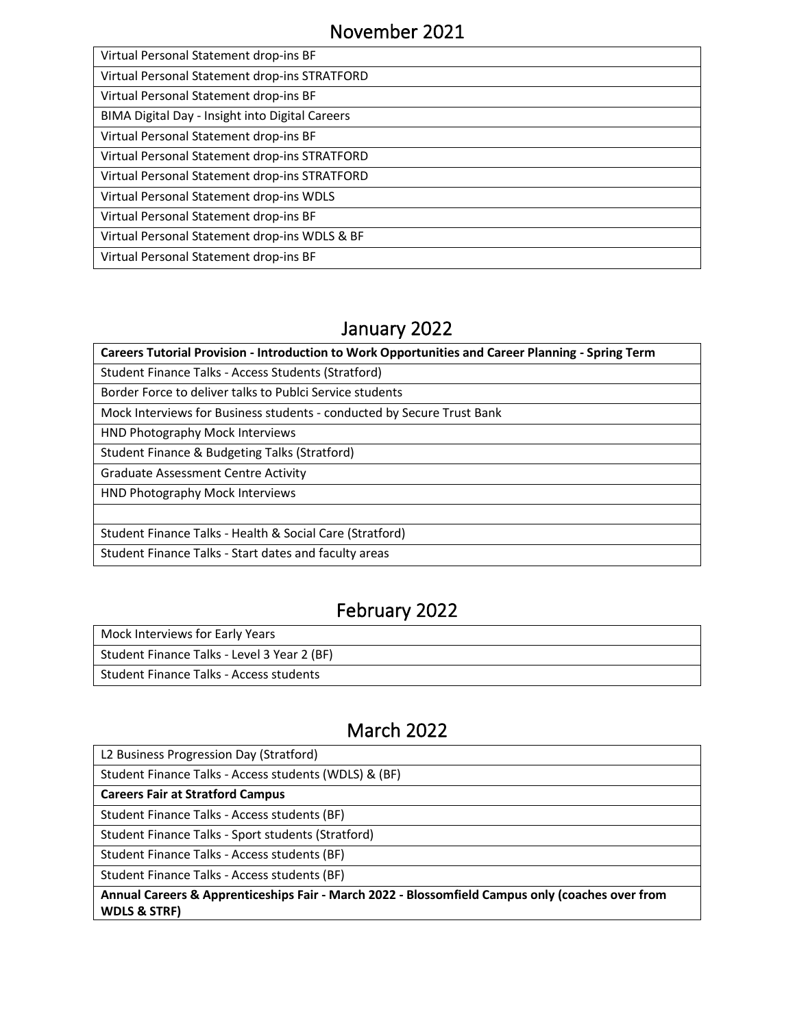| Virtual Personal Statement drop-ins BF          |
|-------------------------------------------------|
| Virtual Personal Statement drop-ins STRATFORD   |
| Virtual Personal Statement drop-ins BF          |
| BIMA Digital Day - Insight into Digital Careers |
| Virtual Personal Statement drop-ins BF          |
| Virtual Personal Statement drop-ins STRATFORD   |
| Virtual Personal Statement drop-ins STRATFORD   |
| Virtual Personal Statement drop-ins WDLS        |
| Virtual Personal Statement drop-ins BF          |
| Virtual Personal Statement drop-ins WDLS & BF   |
| Virtual Personal Statement drop-ins BF          |

# January 2022

| Careers Tutorial Provision - Introduction to Work Opportunities and Career Planning - Spring Term |
|---------------------------------------------------------------------------------------------------|
| Student Finance Talks - Access Students (Stratford)                                               |
| Border Force to deliver talks to Publci Service students                                          |
| Mock Interviews for Business students - conducted by Secure Trust Bank                            |
| HND Photography Mock Interviews                                                                   |
| Student Finance & Budgeting Talks (Stratford)                                                     |
| Graduate Assessment Centre Activity                                                               |
| HND Photography Mock Interviews                                                                   |
|                                                                                                   |
| Student Finance Talks - Health & Social Care (Stratford)                                          |
| Student Finance Talks - Start dates and faculty areas                                             |

# February 2022

| Mock Interviews for Early Years             |
|---------------------------------------------|
| Student Finance Talks - Level 3 Year 2 (BF) |
| Student Finance Talks - Access students     |

# March 2022

| Annual Careers & Apprenticeships Fair - March 2022 - Blossomfield Campus only (coaches over from<br><b>WDLS &amp; STRF)</b> |
|-----------------------------------------------------------------------------------------------------------------------------|
| Student Finance Talks - Access students (BF)                                                                                |
| Student Finance Talks - Access students (BF)                                                                                |
| Student Finance Talks - Sport students (Stratford)                                                                          |
| Student Finance Talks - Access students (BF)                                                                                |
| <b>Careers Fair at Stratford Campus</b>                                                                                     |
| Student Finance Talks - Access students (WDLS) & (BF)                                                                       |
| L2 Business Progression Day (Stratford)                                                                                     |